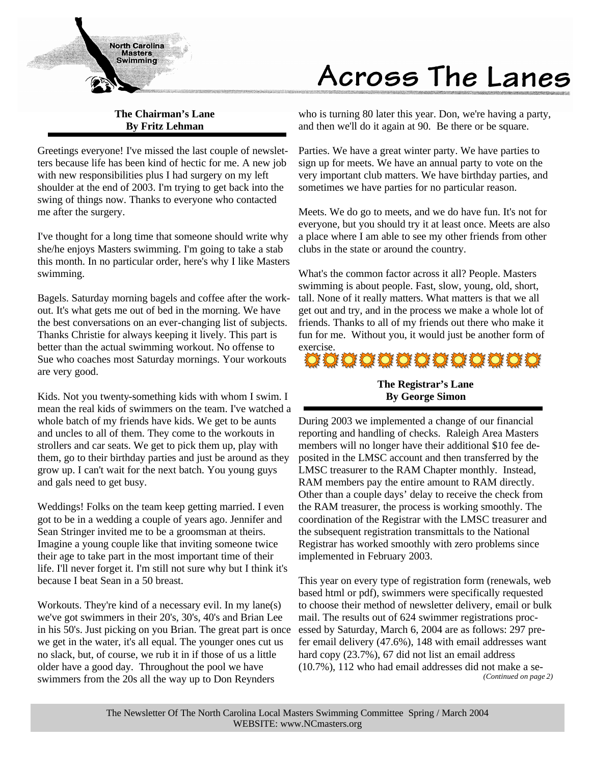

# Across The Lanes

# **The Chairman's Lane By Fritz Lehman**

Greetings everyone! I've missed the last couple of newsletters because life has been kind of hectic for me. A new job with new responsibilities plus I had surgery on my left shoulder at the end of 2003. I'm trying to get back into the swing of things now. Thanks to everyone who contacted me after the surgery.

I've thought for a long time that someone should write why she/he enjoys Masters swimming. I'm going to take a stab this month. In no particular order, here's why I like Masters swimming.

Bagels. Saturday morning bagels and coffee after the workout. It's what gets me out of bed in the morning. We have the best conversations on an ever-changing list of subjects. Thanks Christie for always keeping it lively. This part is better than the actual swimming workout. No offense to Sue who coaches most Saturday mornings. Your workouts are very good.

Kids. Not you twenty-something kids with whom I swim. I mean the real kids of swimmers on the team. I've watched a whole batch of my friends have kids. We get to be aunts and uncles to all of them. They come to the workouts in strollers and car seats. We get to pick them up, play with them, go to their birthday parties and just be around as they grow up. I can't wait for the next batch. You young guys and gals need to get busy.

Weddings! Folks on the team keep getting married. I even got to be in a wedding a couple of years ago. Jennifer and Sean Stringer invited me to be a groomsman at theirs. Imagine a young couple like that inviting someone twice their age to take part in the most important time of their life. I'll never forget it. I'm still not sure why but I think it's because I beat Sean in a 50 breast.

Workouts. They're kind of a necessary evil. In my lane(s) we've got swimmers in their 20's, 30's, 40's and Brian Lee in his 50's. Just picking on you Brian. The great part is once we get in the water, it's all equal. The younger ones cut us no slack, but, of course, we rub it in if those of us a little older have a good day. Throughout the pool we have swimmers from the 20s all the way up to Don Reynders

who is turning 80 later this year. Don, we're having a party, and then we'll do it again at 90. Be there or be square.

Parties. We have a great winter party. We have parties to sign up for meets. We have an annual party to vote on the very important club matters. We have birthday parties, and sometimes we have parties for no particular reason.

Meets. We do go to meets, and we do have fun. It's not for everyone, but you should try it at least once. Meets are also a place where I am able to see my other friends from other clubs in the state or around the country.

What's the common factor across it all? People. Masters swimming is about people. Fast, slow, young, old, short, tall. None of it really matters. What matters is that we all get out and try, and in the process we make a whole lot of friends. Thanks to all of my friends out there who make it fun for me. Without you, it would just be another form of

# exercise.<br>DE DE DE DE DE DE DE DE DE DE DE DE

# **The Registrar's Lane By George Simon**

During 2003 we implemented a change of our financial reporting and handling of checks. Raleigh Area Masters members will no longer have their additional \$10 fee deposited in the LMSC account and then transferred by the LMSC treasurer to the RAM Chapter monthly. Instead, RAM members pay the entire amount to RAM directly. Other than a couple days' delay to receive the check from the RAM treasurer, the process is working smoothly. The coordination of the Registrar with the LMSC treasurer and the subsequent registration transmittals to the National Registrar has worked smoothly with zero problems since implemented in February 2003.

This year on every type of registration form (renewals, web based html or pdf), swimmers were specifically requested to choose their method of newsletter delivery, email or bulk mail. The results out of 624 swimmer registrations processed by Saturday, March 6, 2004 are as follows: 297 prefer email delivery (47.6%), 148 with email addresses want hard copy (23.7%), 67 did not list an email address (10.7%), 112 who had email addresses did not make a se- *(Continued on page 2)*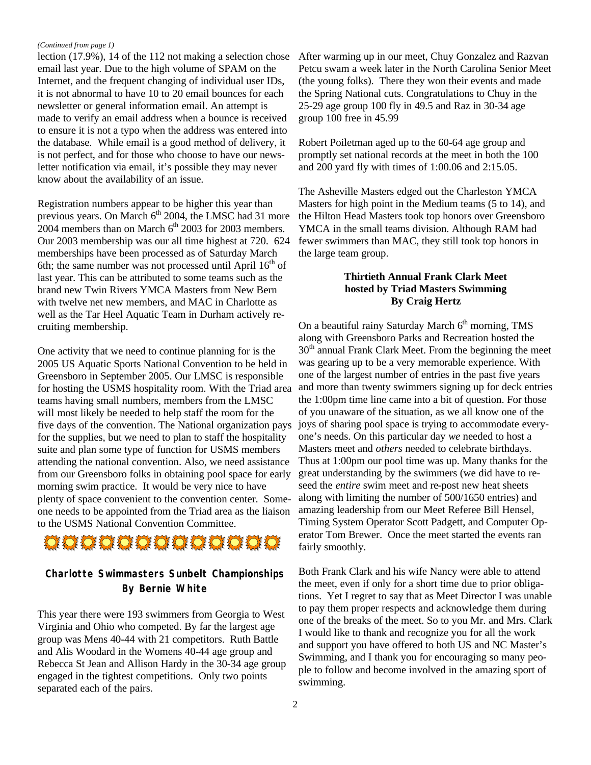#### *(Continued from page 1)*

lection (17.9%), 14 of the 112 not making a selection chose email last year. Due to the high volume of SPAM on the Internet, and the frequent changing of individual user IDs, it is not abnormal to have 10 to 20 email bounces for each newsletter or general information email. An attempt is made to verify an email address when a bounce is received to ensure it is not a typo when the address was entered into the database. While email is a good method of delivery, it is not perfect, and for those who choose to have our newsletter notification via email, it's possible they may never know about the availability of an issue.

Registration numbers appear to be higher this year than previous years. On March  $6<sup>th</sup>$  2004, the LMSC had 31 more  $2004$  members than on March  $6<sup>th</sup>$  2003 for 2003 members. Our 2003 membership was our all time highest at 720. 624 memberships have been processed as of Saturday March 6th; the same number was not processed until April  $16<sup>th</sup>$  of last year. This can be attributed to some teams such as the brand new Twin Rivers YMCA Masters from New Bern with twelve net new members, and MAC in Charlotte as well as the Tar Heel Aquatic Team in Durham actively recruiting membership.

One activity that we need to continue planning for is the 2005 US Aquatic Sports National Convention to be held in Greensboro in September 2005. Our LMSC is responsible for hosting the USMS hospitality room. With the Triad area teams having small numbers, members from the LMSC will most likely be needed to help staff the room for the five days of the convention. The National organization pays for the supplies, but we need to plan to staff the hospitality suite and plan some type of function for USMS members attending the national convention. Also, we need assistance from our Greensboro folks in obtaining pool space for early morning swim practice. It would be very nice to have plenty of space convenient to the convention center. Someone needs to be appointed from the Triad area as the liaison to the USMS National Convention Committee.



# **Charlotte Swimmasters Sunbelt Championships By Bernie White**

This year there were 193 swimmers from Georgia to West Virginia and Ohio who competed. By far the largest age group was Mens 40-44 with 21 competitors. Ruth Battle and Alis Woodard in the Womens 40-44 age group and Rebecca St Jean and Allison Hardy in the 30-34 age group engaged in the tightest competitions. Only two points separated each of the pairs.

After warming up in our meet, Chuy Gonzalez and Razvan Petcu swam a week later in the North Carolina Senior Meet (the young folks). There they won their events and made the Spring National cuts. Congratulations to Chuy in the 25-29 age group 100 fly in 49.5 and Raz in 30-34 age group 100 free in 45.99

Robert Poiletman aged up to the 60-64 age group and promptly set national records at the meet in both the 100 and 200 yard fly with times of 1:00.06 and 2:15.05.

The Asheville Masters edged out the Charleston YMCA Masters for high point in the Medium teams (5 to 14), and the Hilton Head Masters took top honors over Greensboro YMCA in the small teams division. Although RAM had fewer swimmers than MAC, they still took top honors in the large team group.

#### **Thirtieth Annual Frank Clark Meet hosted by Triad Masters Swimming By Craig Hertz**

On a beautiful rainy Saturday March  $6<sup>th</sup>$  morning, TMS along with Greensboro Parks and Recreation hosted the  $30<sup>th</sup>$  annual Frank Clark Meet. From the beginning the meet was gearing up to be a very memorable experience. With one of the largest number of entries in the past five years and more than twenty swimmers signing up for deck entries the 1:00pm time line came into a bit of question. For those of you unaware of the situation, as we all know one of the joys of sharing pool space is trying to accommodate everyone's needs. On this particular day *we* needed to host a Masters meet and *others* needed to celebrate birthdays. Thus at 1:00pm our pool time was up. Many thanks for the great understanding by the swimmers (we did have to reseed the *entire* swim meet and re-post new heat sheets along with limiting the number of 500/1650 entries) and amazing leadership from our Meet Referee Bill Hensel, Timing System Operator Scott Padgett, and Computer Operator Tom Brewer. Once the meet started the events ran fairly smoothly.

Both Frank Clark and his wife Nancy were able to attend the meet, even if only for a short time due to prior obligations. Yet I regret to say that as Meet Director I was unable to pay them proper respects and acknowledge them during one of the breaks of the meet. So to you Mr. and Mrs. Clark I would like to thank and recognize you for all the work and support you have offered to both US and NC Master's Swimming, and I thank you for encouraging so many people to follow and become involved in the amazing sport of swimming.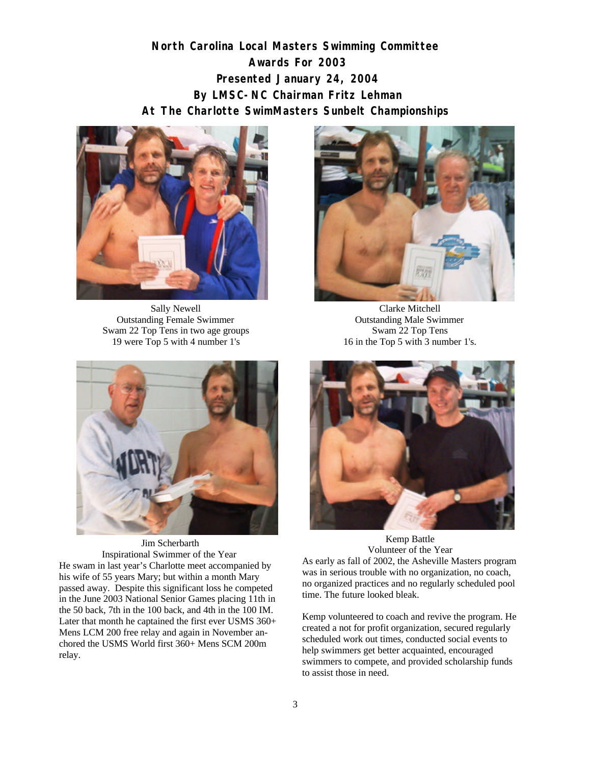# **North Carolina Local Masters Swimming Committee Awards For 2003 Presented January 24, 2004 By LMSC-NC Chairman Fritz Lehman At The Charlotte SwimMasters Sunbelt Championships**



Sally Newell Outstanding Female Swimmer Swam 22 Top Tens in two age groups 19 were Top 5 with 4 number 1's



Clarke Mitchell Outstanding Male Swimmer Swam 22 Top Tens 16 in the Top 5 with 3 number 1's.



 Jim Scherbarth Inspirational Swimmer of the Year He swam in last year's Charlotte meet accompanied by his wife of 55 years Mary; but within a month Mary passed away. Despite this significant loss he competed in the June 2003 National Senior Games placing 11th in the 50 back, 7th in the 100 back, and 4th in the 100 IM. Later that month he captained the first ever USMS 360+ Mens LCM 200 free relay and again in November anchored the USMS World first 360+ Mens SCM 200m relay.



Kemp Battle Volunteer of the Year As early as fall of 2002, the Asheville Masters program was in serious trouble with no organization, no coach, no organized practices and no regularly scheduled pool

Kemp volunteered to coach and revive the program. He created a not for profit organization, secured regularly scheduled work out times, conducted social events to help swimmers get better acquainted, encouraged swimmers to compete, and provided scholarship funds to assist those in need.

time. The future looked bleak.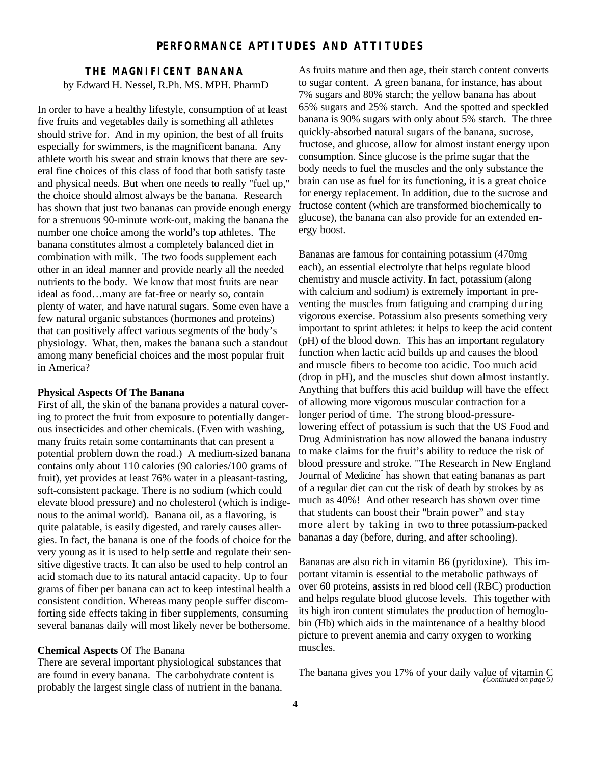## **PERFORMANCE APTITUDES AND ATTITUDES**

### **THE MAGNIFICENT BANANA** by Edward H. Nessel, R.Ph. MS. MPH. PharmD

In order to have a healthy lifestyle, consumption of at least five fruits and vegetables daily is something all athletes should strive for. And in my opinion, the best of all fruits especially for swimmers, is the magnificent banana. Any athlete worth his sweat and strain knows that there are several fine choices of this class of food that both satisfy taste and physical needs. But when one needs to really "fuel up," the choice should almost always be the banana. Research has shown that just two bananas can provide enough energy for a strenuous 90-minute work-out, making the banana the number one choice among the world's top athletes. The banana constitutes almost a completely balanced diet in combination with milk. The two foods supplement each other in an ideal manner and provide nearly all the needed nutrients to the body. We know that most fruits are near ideal as food…many are fat-free or nearly so, contain plenty of water, and have natural sugars. Some even have a few natural organic substances (hormones and proteins) that can positively affect various segments of the body's physiology. What, then, makes the banana such a standout among many beneficial choices and the most popular fruit in America?

#### **Physical Aspects Of The Banana**

First of all, the skin of the banana provides a natural covering to protect the fruit from exposure to potentially dangerous insecticides and other chemicals. (Even with washing, many fruits retain some contaminants that can present a potential problem down the road.) A medium-sized banana contains only about 110 calories (90 calories/100 grams of fruit), yet provides at least 76% water in a pleasant-tasting, soft-consistent package. There is no sodium (which could elevate blood pressure) and no cholesterol (which is indigenous to the animal world). Banana oil, as a flavoring, is quite palatable, is easily digested, and rarely causes allergies. In fact, the banana is one of the foods of choice for the very young as it is used to help settle and regulate their sensitive digestive tracts. It can also be used to help control an acid stomach due to its natural antacid capacity. Up to four grams of fiber per banana can act to keep intestinal health a consistent condition. Whereas many people suffer discomforting side effects taking in fiber supplements, consuming several bananas daily will most likely never be bothersome.

#### **Chemical Aspects** Of The Banana

There are several important physiological substances that are found in every banana. The carbohydrate content is probably the largest single class of nutrient in the banana.

As fruits mature and then age, their starch content converts to sugar content. A green banana, for instance, has about 7% sugars and 80% starch; the yellow banana has about 65% sugars and 25% starch. And the spotted and speckled banana is 90% sugars with only about 5% starch. The three quickly-absorbed natural sugars of the banana, sucrose, fructose, and glucose, allow for almost instant energy upon consumption. Since glucose is the prime sugar that the body needs to fuel the muscles and the only substance the brain can use as fuel for its functioning, it is a great choice for energy replacement. In addition, due to the sucrose and fructose content (which are transformed biochemically to glucose), the banana can also provide for an extended energy boost.

Bananas are famous for containing potassium (470mg each), an essential electrolyte that helps regulate blood chemistry and muscle activity. In fact, potassium (along with calcium and sodium) is extremely important in preventing the muscles from fatiguing and cramping during vigorous exercise. Potassium also presents something very important to sprint athletes: it helps to keep the acid content (pH) of the blood down. This has an important regulatory function when lactic acid builds up and causes the blood and muscle fibers to become too acidic. Too much acid (drop in pH), and the muscles shut down almost instantly. Anything that buffers this acid buildup will have the effect of allowing more vigorous muscular contraction for a longer period of time. The strong blood-pressurelowering effect of potassium is such that the US Food and Drug Administration has now allowed the banana industry to make claims for the fruit's ability to reduce the risk of blood pressure and stroke. "The Research in New England Journal of Medicine<sup>"</sup> has shown that eating bananas as part of a regular diet can cut the risk of death by strokes by as much as 40%! And other research has shown over time that students can boost their "brain power" and stay more alert by taking in two to three potassium-packed bananas a day (before, during, and after schooling).

Bananas are also rich in vitamin B6 (pyridoxine). This important vitamin is essential to the metabolic pathways of over 60 proteins, assists in red blood cell (RBC) production and helps regulate blood glucose levels. This together with its high iron content stimulates the production of hemoglobin (Hb) which aids in the maintenance of a healthy blood picture to prevent anemia and carry oxygen to working muscles.

The banana gives you 17% of your daily value of vitamin C *(Continued on page 5)*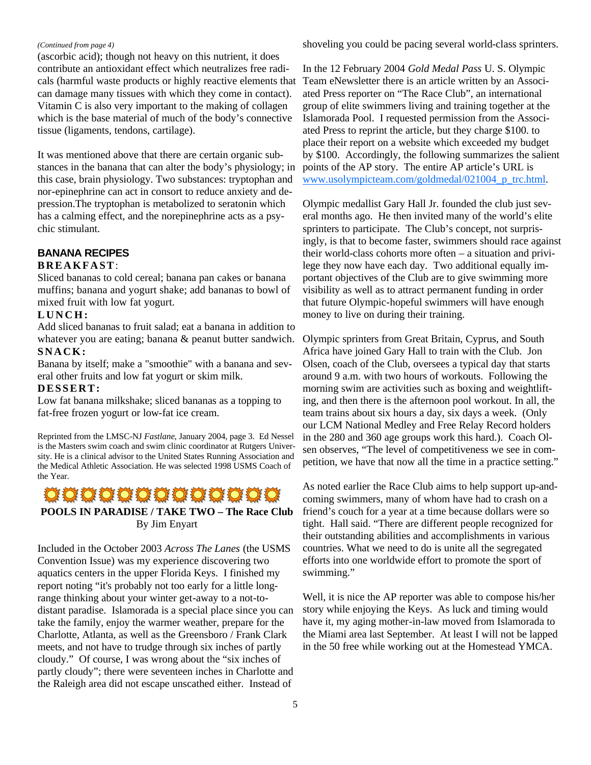#### *(Continued from page 4)*

(ascorbic acid); though not heavy on this nutrient, it does contribute an antioxidant effect which neutralizes free radicals (harmful waste products or highly reactive elements that can damage many tissues with which they come in contact). Vitamin C is also very important to the making of collagen which is the base material of much of the body's connective tissue (ligaments, tendons, cartilage).

It was mentioned above that there are certain organic substances in the banana that can alter the body's physiology; in this case, brain physiology. Two substances: tryptophan and nor-epinephrine can act in consort to reduce anxiety and depression.The tryptophan is metabolized to seratonin which has a calming effect, and the norepinephrine acts as a psychic stimulant.

# **BANANA RECIPES**

### **BREAKFAST**:

Sliced bananas to cold cereal; banana pan cakes or banana muffins; banana and yogurt shake; add bananas to bowl of mixed fruit with low fat yogurt.

## **LUNCH:**

Add sliced bananas to fruit salad; eat a banana in addition to whatever you are eating; banana & peanut butter sandwich. **SNACK:**

Banana by itself; make a "smoothie" with a banana and several other fruits and low fat yogurt or skim milk.

#### **DESSERT:**

Low fat banana milkshake; sliced bananas as a topping to fat-free frozen yogurt or low-fat ice cream.

Reprinted from the LMSC-NJ *Fastlane*, January 2004, page 3. Ed Nessel is the Masters swim coach and swim clinic coordinator at Rutgers University. He is a clinical advisor to the United States Running Association and the Medical Athletic Association. He was selected 1998 USMS Coach of the Year.

# O O O O O O O O O O O **POOLS IN PARADISE / TAKE TWO – The Race Club** By Jim Enyart

Included in the October 2003 *Across The Lanes* (the USMS Convention Issue) was my experience discovering two aquatics centers in the upper Florida Keys. I finished my report noting "it's probably not too early for a little longrange thinking about your winter get-away to a not-todistant paradise. Islamorada is a special place since you can take the family, enjoy the warmer weather, prepare for the Charlotte, Atlanta, as well as the Greensboro / Frank Clark meets, and not have to trudge through six inches of partly cloudy." Of course, I was wrong about the "six inches of partly cloudy"; there were seventeen inches in Charlotte and the Raleigh area did not escape unscathed either. Instead of

shoveling you could be pacing several world-class sprinters.

In the 12 February 2004 *Gold Medal Pass* U. S. Olympic Team eNewsletter there is an article written by an Associated Press reporter on "The Race Club", an international group of elite swimmers living and training together at the Islamorada Pool. I requested permission from the Associated Press to reprint the article, but they charge \$100. to place their report on a website which exceeded my budget by \$100. Accordingly, the following summarizes the salient points of the AP story. The entire AP article's URL is www.usolympicteam.com/goldmedal/021004\_p\_trc.html.

Olympic medallist Gary Hall Jr. founded the club just several months ago. He then invited many of the world's elite sprinters to participate. The Club's concept, not surprisingly, is that to become faster, swimmers should race against their world-class cohorts more often – a situation and privilege they now have each day. Two additional equally important objectives of the Club are to give swimming more visibility as well as to attract permanent funding in order that future Olympic-hopeful swimmers will have enough money to live on during their training.

Olympic sprinters from Great Britain, Cyprus, and South Africa have joined Gary Hall to train with the Club. Jon Olsen, coach of the Club, oversees a typical day that starts around 9 a.m. with two hours of workouts. Following the morning swim are activities such as boxing and weightlifting, and then there is the afternoon pool workout. In all, the team trains about six hours a day, six days a week. (Only our LCM National Medley and Free Relay Record holders in the 280 and 360 age groups work this hard.). Coach Olsen observes, "The level of competitiveness we see in competition, we have that now all the time in a practice setting."

As noted earlier the Race Club aims to help support up-andcoming swimmers, many of whom have had to crash on a friend's couch for a year at a time because dollars were so tight. Hall said. "There are different people recognized for their outstanding abilities and accomplishments in various countries. What we need to do is unite all the segregated efforts into one worldwide effort to promote the sport of swimming."

Well, it is nice the AP reporter was able to compose his/her story while enjoying the Keys. As luck and timing would have it, my aging mother-in-law moved from Islamorada to the Miami area last September. At least I will not be lapped in the 50 free while working out at the Homestead YMCA.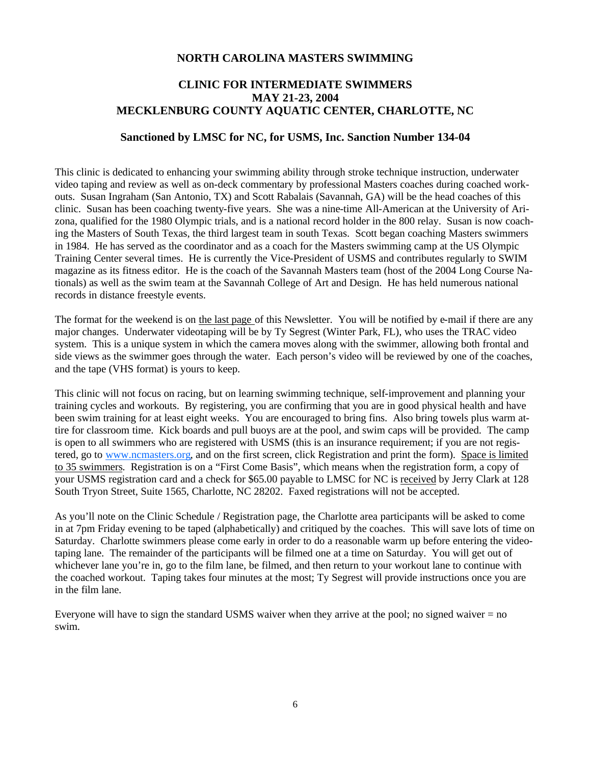#### **NORTH CAROLINA MASTERS SWIMMING**

# **CLINIC FOR INTERMEDIATE SWIMMERS MAY 21-23, 2004 MECKLENBURG COUNTY AQUATIC CENTER, CHARLOTTE, NC**

#### **Sanctioned by LMSC for NC, for USMS, Inc. Sanction Number 134-04**

This clinic is dedicated to enhancing your swimming ability through stroke technique instruction, underwater video taping and review as well as on-deck commentary by professional Masters coaches during coached workouts. Susan Ingraham (San Antonio, TX) and Scott Rabalais (Savannah, GA) will be the head coaches of this clinic. Susan has been coaching twenty-five years. She was a nine-time All-American at the University of Arizona, qualified for the 1980 Olympic trials, and is a national record holder in the 800 relay. Susan is now coaching the Masters of South Texas, the third largest team in south Texas. Scott began coaching Masters swimmers in 1984. He has served as the coordinator and as a coach for the Masters swimming camp at the US Olympic Training Center several times. He is currently the Vice-President of USMS and contributes regularly to SWIM magazine as its fitness editor. He is the coach of the Savannah Masters team (host of the 2004 Long Course Nationals) as well as the swim team at the Savannah College of Art and Design. He has held numerous national records in distance freestyle events.

The format for the weekend is on the last page of this Newsletter. You will be notified by e-mail if there are any major changes. Underwater videotaping will be by Ty Segrest (Winter Park, FL), who uses the TRAC video system. This is a unique system in which the camera moves along with the swimmer, allowing both frontal and side views as the swimmer goes through the water. Each person's video will be reviewed by one of the coaches, and the tape (VHS format) is yours to keep.

This clinic will not focus on racing, but on learning swimming technique, self-improvement and planning your training cycles and workouts. By registering, you are confirming that you are in good physical health and have been swim training for at least eight weeks. You are encouraged to bring fins. Also bring towels plus warm attire for classroom time. Kick boards and pull buoys are at the pool, and swim caps will be provided. The camp is open to all swimmers who are registered with USMS (this is an insurance requirement; if you are not registered, go to www.ncmasters.org, and on the first screen, click Registration and print the form). Space is limited to 35 swimmers. Registration is on a "First Come Basis", which means when the registration form, a copy of your USMS registration card and a check for \$65.00 payable to LMSC for NC is received by Jerry Clark at 128 South Tryon Street, Suite 1565, Charlotte, NC 28202. Faxed registrations will not be accepted.

As you'll note on the Clinic Schedule / Registration page, the Charlotte area participants will be asked to come in at 7pm Friday evening to be taped (alphabetically) and critiqued by the coaches. This will save lots of time on Saturday. Charlotte swimmers please come early in order to do a reasonable warm up before entering the videotaping lane. The remainder of the participants will be filmed one at a time on Saturday. You will get out of whichever lane you're in, go to the film lane, be filmed, and then return to your workout lane to continue with the coached workout. Taping takes four minutes at the most; Ty Segrest will provide instructions once you are in the film lane.

Everyone will have to sign the standard USMS waiver when they arrive at the pool; no signed waiver  $=$  no swim.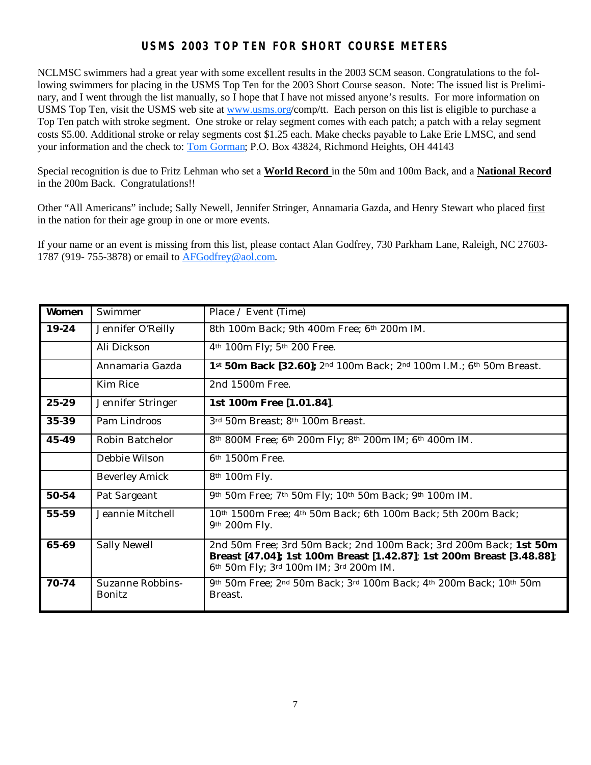# **USMS 2003 TOP TEN FOR SHORT COURSE METERS**

NCLMSC swimmers had a great year with some excellent results in the 2003 SCM season. Congratulations to the following swimmers for placing in the USMS Top Ten for the 2003 Short Course season. Note: The issued list is Preliminary, and I went through the list manually, so I hope that I have not missed anyone's results. For more information on USMS Top Ten, visit the USMS web site at www.usms.org/comp/tt. Each person on this list is eligible to purchase a Top Ten patch with stroke segment. One stroke or relay segment comes with each patch; a patch with a relay segment costs \$5.00. Additional stroke or relay segments cost \$1.25 each. Make checks payable to Lake Erie LMSC, and send your information and the check to: Tom Gorman; P.O. Box 43824, Richmond Heights, OH 44143

Special recognition is due to Fritz Lehman who set a **World Record** in the 50m and 100m Back, and a **National Record** in the 200m Back. Congratulations!!

Other "All Americans" include; Sally Newell, Jennifer Stringer, Annamaria Gazda, and Henry Stewart who placed first in the nation for their age group in one or more events.

If your name or an event is missing from this list, please contact Alan Godfrey, 730 Parkham Lane, Raleigh, NC 27603- 1787 (919- 755-3878) or email to AFGodfrey@aol.com.

| <b>Women</b> | Swimmer                           | Place / Event (Time)                                                                                                                                                                 |
|--------------|-----------------------------------|--------------------------------------------------------------------------------------------------------------------------------------------------------------------------------------|
| 19-24        | Jennifer O'Reilly                 | 8th 100m Back; 9th 400m Free; 6th 200m IM.                                                                                                                                           |
|              | Ali Dickson                       | 4th 100m Fly; 5th 200 Free.                                                                                                                                                          |
|              | Annamaria Gazda                   | 1st 50m Back [32.60]; 2nd 100m Back; 2nd 100m I.M.; 6th 50m Breast.                                                                                                                  |
|              | <b>Kim Rice</b>                   | 2nd 1500m Free.                                                                                                                                                                      |
| 25-29        | Jennifer Stringer                 | 1st 100m Free [1.01.84].                                                                                                                                                             |
| 35-39        | Pam Lindroos                      | 3rd 50m Breast; 8th 100m Breast.                                                                                                                                                     |
| 45-49        | Robin Batchelor                   | 8th 800M Free; 6th 200m Fly; 8th 200m IM; 6th 400m IM.                                                                                                                               |
|              | Debbie Wilson                     | 6 <sup>th</sup> 1500m Free.                                                                                                                                                          |
|              | <b>Beverley Amick</b>             | 8th 100m Fly.                                                                                                                                                                        |
| 50-54        | Pat Sargeant                      | 9th 50m Free; 7th 50m Fly; 10th 50m Back; 9th 100m IM.                                                                                                                               |
| $55 - 59$    | Jeannie Mitchell                  | 10th 1500m Free; 4th 50m Back; 6th 100m Back; 5th 200m Back;<br>9th 200m Fly.                                                                                                        |
| 65-69        | Sally Newell                      | 2nd 50m Free; 3rd 50m Back; 2nd 100m Back; 3rd 200m Back; 1st 50m<br>Breast [47.04]; 1st 100m Breast [1.42.87]; 1st 200m Breast [3.48.88];<br>6th 50m Fly; 3rd 100m IM; 3rd 200m IM. |
| 70-74        | Suzanne Robbins-<br><b>Bonitz</b> | 9th 50m Free; 2nd 50m Back; 3rd 100m Back; 4th 200m Back; 10th 50m<br>Breast.                                                                                                        |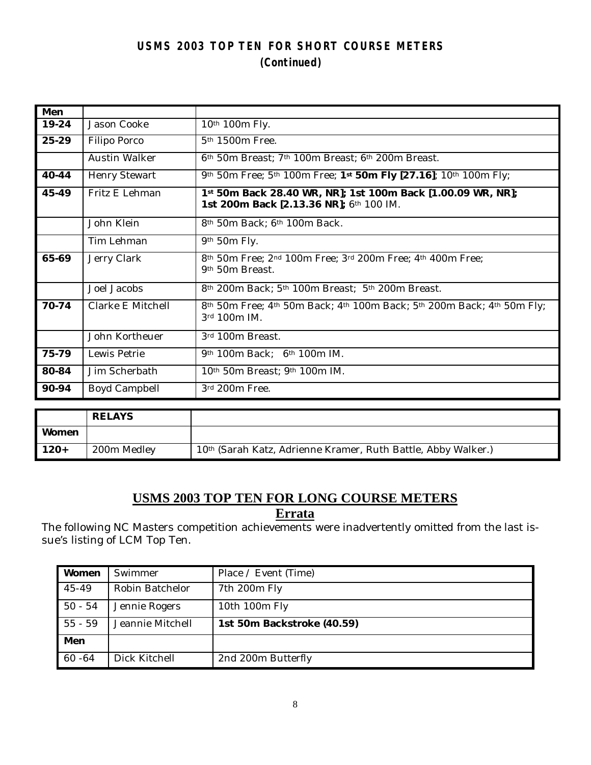# **USMS 2003 TOP TEN FOR SHORT COURSE METERS (Continued)**

| Men   |                      |                                                                                                        |
|-------|----------------------|--------------------------------------------------------------------------------------------------------|
| 19-24 | Jason Cooke          | 10th 100m Fly.                                                                                         |
| 25-29 | Filipo Porco         | 5 <sup>th</sup> 1500m Free.                                                                            |
|       | <b>Austin Walker</b> | 6 <sup>th</sup> 50m Breast; 7 <sup>th</sup> 100m Breast; 6 <sup>th</sup> 200m Breast.                  |
| 40-44 | <b>Henry Stewart</b> | 9th 50m Free; 5th 100m Free; 1st 50m Fly [27.16]; 10th 100m Fly;                                       |
| 45-49 | Fritz E Lehman       | 1st 50m Back 28.40 WR, NR]; 1st 100m Back [1.00.09 WR, NR];<br>1st 200m Back [2.13.36 NR]; 6th 100 IM. |
|       | John Klein           | 8th 50m Back; 6th 100m Back.                                                                           |
|       | Tim Lehman           | 9th 50m Fly.                                                                                           |
| 65-69 | Jerry Clark          | 8th 50m Free; 2nd 100m Free; 3rd 200m Free; 4th 400m Free;<br>9th 50m Breast.                          |
|       | Joel Jacobs          | 8th 200m Back; 5th 100m Breast; 5th 200m Breast.                                                       |
| 70-74 | Clarke E Mitchell    | 8th 50m Free; 4th 50m Back; 4th 100m Back; 5th 200m Back; 4th 50m Fly;<br>3rd 100m IM.                 |
|       | John Kortheuer       | 3rd 100m Breast.                                                                                       |
| 75-79 | Lewis Petrie         | 9th 100m Back; 6th 100m IM.                                                                            |
| 80-84 | Jim Scherbath        | 10 <sup>th</sup> 50m Breast; 9 <sup>th</sup> 100m IM.                                                  |
| 90-94 | Boyd Campbell        | 3rd 200m Free.                                                                                         |
|       |                      |                                                                                                        |

|        | <b>RELAYS</b> |                                                                           |
|--------|---------------|---------------------------------------------------------------------------|
| Women  |               |                                                                           |
| $120+$ | 200m Medley   | 10 <sup>th</sup> (Sarah Katz, Adrienne Kramer, Ruth Battle, Abby Walker.) |

# **USMS 2003 TOP TEN FOR LONG COURSE METERS Errata**

The following NC Masters competition achievements were inadvertently omitted from the last issue's listing of LCM Top Ten.

| Women     | Swimmer          | Place / Event (Time)       |
|-----------|------------------|----------------------------|
| 45-49     | Robin Batchelor  | 7th 200m Fly               |
| $50 - 54$ | Jennie Rogers    | 10th 100m Fly              |
| $55 - 59$ | Jeannie Mitchell | 1st 50m Backstroke (40.59) |
| Men       |                  |                            |
| $60 - 64$ | Dick Kitchell    | 2nd 200m Butterfly         |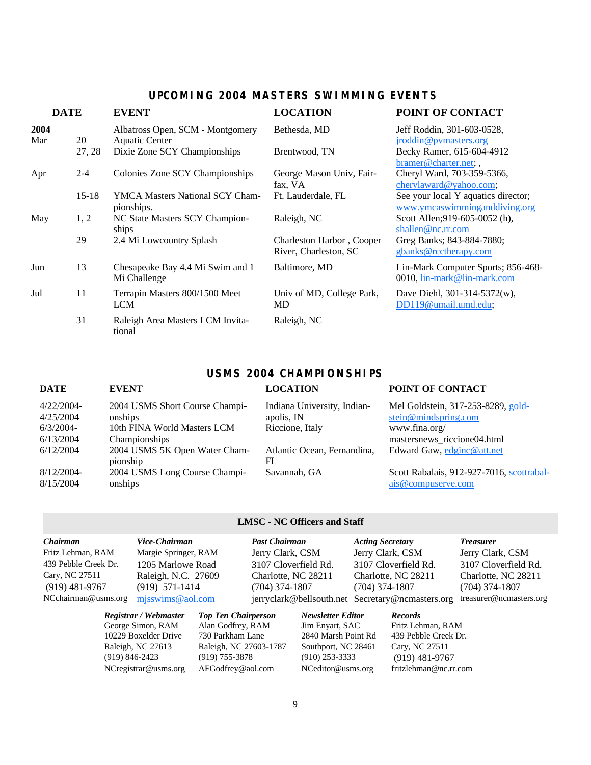# **UPCOMING 2004 MASTERS SWIMMING EVENTS**

| <b>DATE</b> |           | <b>EVENT</b>                                         | <b>LOCATION</b>                                    | POINT OF CONTACT                                                     |  |  |
|-------------|-----------|------------------------------------------------------|----------------------------------------------------|----------------------------------------------------------------------|--|--|
| 2004<br>Mar | 20        | Albatross Open, SCM - Montgomery<br>Aquatic Center   | Bethesda, MD                                       | Jeff Roddin, 301-603-0528,<br>jroddin@pymasters.org                  |  |  |
|             | 27, 28    | Dixie Zone SCY Championships                         | Brentwood, TN                                      | Becky Ramer, 615-604-4912<br>bramer@charter.net;,                    |  |  |
| Apr         | $2 - 4$   | Colonies Zone SCY Championships                      | George Mason Univ, Fair-<br>fax, VA                | Cheryl Ward, 703-359-5366,<br>cherylaward@yahoo.com;                 |  |  |
|             | $15 - 18$ | <b>YMCA Masters National SCY Cham-</b><br>pionships. | Ft. Lauderdale, FL                                 | See your local Y aquatics director;<br>www.ymcaswimminganddiving.org |  |  |
| May         | 1, 2      | NC State Masters SCY Champion-<br>ships              | Raleigh, NC                                        | Scott Allen; 919-605-0052 (h),<br>shallen@nc.rr.com                  |  |  |
|             | 29        | 2.4 Mi Lowcountry Splash                             | Charleston Harbor, Cooper<br>River, Charleston, SC | Greg Banks; 843-884-7880;<br>gbanks@rcctherapy.com                   |  |  |
| Jun         | 13        | Chesapeake Bay 4.4 Mi Swim and 1<br>Mi Challenge     | Baltimore, MD                                      | Lin-Mark Computer Sports; 856-468-<br>0010, lin-mark@lin-mark.com    |  |  |
| Jul         | 11        | Terrapin Masters 800/1500 Meet<br><b>LCM</b>         | Univ of MD, College Park,<br>MD                    | Dave Diehl, 301-314-5372(w),<br>DD119@umail.umd.edu;                 |  |  |
|             | 31        | Raleigh Area Masters LCM Invita-<br>tional           | Raleigh, NC                                        |                                                                      |  |  |

# **USMS 2004 CHAMPIONSHIPS**

| <b>DATE</b>                               | <b>EVENT</b>                                                             | <b>LOCATION</b>                                              | POINT OF CONTACT                                                            |
|-------------------------------------------|--------------------------------------------------------------------------|--------------------------------------------------------------|-----------------------------------------------------------------------------|
| $4/22/2004$ -<br>4/25/2004<br>$6/3/2004-$ | 2004 USMS Short Course Champi-<br>onships<br>10th FINA World Masters LCM | Indiana University, Indian-<br>apolis, IN<br>Riccione, Italy | Mel Goldstein, 317-253-8289, gold-<br>stein@mindspring.com<br>www.fina.org/ |
| 6/13/2004                                 | Championships                                                            |                                                              | mastersnews_riccione04.html                                                 |
| 6/12/2004                                 | 2004 USMS 5K Open Water Cham-<br>pionship                                | Atlantic Ocean, Fernandina,<br>FL                            | Edward Gaw, edginc@att.net                                                  |
| 8/12/2004-<br>8/15/2004                   | 2004 USMS Long Course Champi-<br>onships                                 | Savannah, GA                                                 | Scott Rabalais, 912-927-7016, scottrabal-<br>ais@compuserve.com             |

### **LMSC - NC Officers and Staff**

| Chairman             | Vice-Chairman         |                            | <b>Past Chairman</b> |                          | <b>Acting Secretary</b> |                                                  | <b>Treasurer</b>        |
|----------------------|-----------------------|----------------------------|----------------------|--------------------------|-------------------------|--------------------------------------------------|-------------------------|
| Fritz Lehman, RAM    | Margie Springer, RAM  |                            | Jerry Clark, CSM     |                          | Jerry Clark, CSM        |                                                  | Jerry Clark, CSM        |
| 439 Pebble Creek Dr. | 1205 Marlowe Road     |                            | 3107 Cloverfield Rd. |                          |                         | 3107 Cloverfield Rd.                             | 3107 Cloverfield Rd.    |
| Cary, NC 27511       | Raleigh, N.C. 27609   |                            | Charlotte, NC 28211  |                          |                         | Charlotte, NC 28211                              | Charlotte, NC 28211     |
| $(919)$ 481-9767     | $(919)$ 571-1414      |                            | $(704)$ 374-1807     |                          | $(704)$ 374-1807        |                                                  | $(704)$ 374-1807        |
| NCchairman@usms.org  | $m$ isswims @ aol.com |                            |                      |                          |                         | jerryclark@bellsouth.net Secretary@ncmasters.org | treasurer@ncmasters.org |
|                      | Registrar / Webmaster | <b>Top Ten Chairperson</b> |                      | <b>Newsletter Editor</b> |                         | <b>Records</b>                                   |                         |
|                      | George Simon, RAM     | Alan Godfrey, RAM          |                      | Jim Enyart, SAC          |                         | Fritz Lehman, RAM                                |                         |
|                      | 10229 Boxelder Drive  | 730 Parkham Lane           |                      | 2840 Marsh Point Rd      |                         | 439 Pebble Creek Dr.                             |                         |
|                      |                       |                            |                      |                          |                         |                                                  |                         |

 $NC$ registrar@usms.org

Raleigh, NC 27613 Raleigh, NC 27603-1787 Southport, NC 28461 Cary, NC 27511 (919) 846-2423 (919) 755-3878 (910) 253-3333 (919) 481-976

(919) 755-3878 (910) 253-3333 (919) 481-9767<br>AFGodfrey@aol.com NCeditor@usms.org fritzlehman@nc.rr.com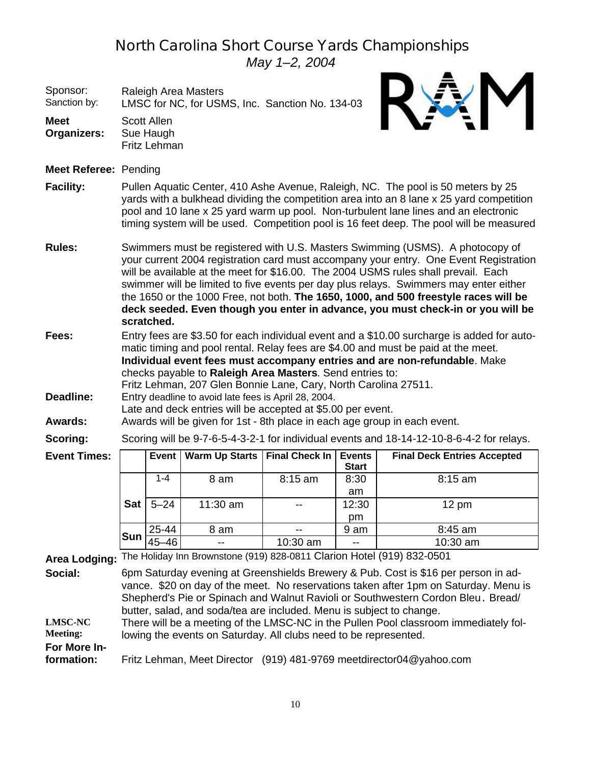# *North Carolina Short Course Yards Championships*

*May 1–2, 2004*

| Sponsor:<br>Sanction by:   |                                                                                                                                                                                                                                                                                                                                                                                                                                                                                                                                                |              | Raleigh Area Masters<br>LMSC for NC, for USMS, Inc. Sanction No. 134-03                                                                                                             |                       |               |                                                                                                                                                                                                                                                              |  |  |  |  |  |
|----------------------------|------------------------------------------------------------------------------------------------------------------------------------------------------------------------------------------------------------------------------------------------------------------------------------------------------------------------------------------------------------------------------------------------------------------------------------------------------------------------------------------------------------------------------------------------|--------------|-------------------------------------------------------------------------------------------------------------------------------------------------------------------------------------|-----------------------|---------------|--------------------------------------------------------------------------------------------------------------------------------------------------------------------------------------------------------------------------------------------------------------|--|--|--|--|--|
| <b>Meet</b><br>Organizers: | <b>Scott Allen</b><br>Sue Haugh<br>Fritz Lehman                                                                                                                                                                                                                                                                                                                                                                                                                                                                                                |              |                                                                                                                                                                                     |                       |               |                                                                                                                                                                                                                                                              |  |  |  |  |  |
| Meet Referee: Pending      |                                                                                                                                                                                                                                                                                                                                                                                                                                                                                                                                                |              |                                                                                                                                                                                     |                       |               |                                                                                                                                                                                                                                                              |  |  |  |  |  |
| <b>Facility:</b>           | Pullen Aquatic Center, 410 Ashe Avenue, Raleigh, NC. The pool is 50 meters by 25<br>yards with a bulkhead dividing the competition area into an 8 lane x 25 yard competition<br>pool and 10 lane x 25 yard warm up pool. Non-turbulent lane lines and an electronic<br>timing system will be used. Competition pool is 16 feet deep. The pool will be measured                                                                                                                                                                                 |              |                                                                                                                                                                                     |                       |               |                                                                                                                                                                                                                                                              |  |  |  |  |  |
| <b>Rules:</b>              | Swimmers must be registered with U.S. Masters Swimming (USMS). A photocopy of<br>your current 2004 registration card must accompany your entry. One Event Registration<br>will be available at the meet for \$16.00. The 2004 USMS rules shall prevail. Each<br>swimmer will be limited to five events per day plus relays. Swimmers may enter either<br>the 1650 or the 1000 Free, not both. The 1650, 1000, and 500 freestyle races will be<br>deck seeded. Even though you enter in advance, you must check-in or you will be<br>scratched. |              |                                                                                                                                                                                     |                       |               |                                                                                                                                                                                                                                                              |  |  |  |  |  |
| Fees:<br>Deadline:         |                                                                                                                                                                                                                                                                                                                                                                                                                                                                                                                                                |              | checks payable to Raleigh Area Masters. Send entries to:<br>Fritz Lehman, 207 Glen Bonnie Lane, Cary, North Carolina 27511.<br>Entry deadline to avoid late fees is April 28, 2004. |                       |               | Entry fees are \$3.50 for each individual event and a \$10.00 surcharge is added for auto-<br>matic timing and pool rental. Relay fees are \$4.00 and must be paid at the meet.<br>Individual event fees must accompany entries and are non-refundable. Make |  |  |  |  |  |
| <b>Awards:</b>             |                                                                                                                                                                                                                                                                                                                                                                                                                                                                                                                                                |              | Late and deck entries will be accepted at \$5.00 per event.                                                                                                                         |                       |               | Awards will be given for 1st - 8th place in each age group in each event.                                                                                                                                                                                    |  |  |  |  |  |
| <b>Scoring:</b>            |                                                                                                                                                                                                                                                                                                                                                                                                                                                                                                                                                |              |                                                                                                                                                                                     |                       |               | Scoring will be 9-7-6-5-4-3-2-1 for individual events and 18-14-12-10-8-6-4-2 for relays.                                                                                                                                                                    |  |  |  |  |  |
| <b>Event Times:</b>        |                                                                                                                                                                                                                                                                                                                                                                                                                                                                                                                                                | <b>Event</b> | Warm Up Starts                                                                                                                                                                      | <b>Final Check In</b> | <b>Events</b> | <b>Final Deck Entries Accepted</b>                                                                                                                                                                                                                           |  |  |  |  |  |
|                            |                                                                                                                                                                                                                                                                                                                                                                                                                                                                                                                                                |              |                                                                                                                                                                                     |                       | <b>Start</b>  |                                                                                                                                                                                                                                                              |  |  |  |  |  |
|                            |                                                                                                                                                                                                                                                                                                                                                                                                                                                                                                                                                | $1 - 4$      | 8 am                                                                                                                                                                                | 8:15 am               | 8:30<br>am    | 8:15 am                                                                                                                                                                                                                                                      |  |  |  |  |  |
|                            | <b>Sat</b>                                                                                                                                                                                                                                                                                                                                                                                                                                                                                                                                     | $5 - 24$     | 11:30 am                                                                                                                                                                            | --                    | 12:30         | $12 \text{ pm}$                                                                                                                                                                                                                                              |  |  |  |  |  |
|                            |                                                                                                                                                                                                                                                                                                                                                                                                                                                                                                                                                |              |                                                                                                                                                                                     |                       | pm            |                                                                                                                                                                                                                                                              |  |  |  |  |  |
|                            | Sun                                                                                                                                                                                                                                                                                                                                                                                                                                                                                                                                            | 25-44        | 8 am                                                                                                                                                                                |                       | 9 am          | 8:45 am                                                                                                                                                                                                                                                      |  |  |  |  |  |
|                            |                                                                                                                                                                                                                                                                                                                                                                                                                                                                                                                                                | 45–46        |                                                                                                                                                                                     | 10:30 am              |               | 10:30 am                                                                                                                                                                                                                                                     |  |  |  |  |  |
| <b>Area Lodging:</b>       |                                                                                                                                                                                                                                                                                                                                                                                                                                                                                                                                                |              | The Holiday Inn Brownstone (919) 828-0811 Clarion Hotel (919) 832-0501                                                                                                              |                       |               |                                                                                                                                                                                                                                                              |  |  |  |  |  |
| Social:<br><b>LMSC-NC</b>  | 6pm Saturday evening at Greenshields Brewery & Pub. Cost is \$16 per person in ad-<br>vance. \$20 on day of the meet. No reservations taken after 1pm on Saturday. Menu is<br>Shepherd's Pie or Spinach and Walnut Ravioli or Southwestern Cordon Bleu. Bread/<br>butter, salad, and soda/tea are included. Menu is subject to change.<br>There will be a meeting of the LMSC-NC in the Pullen Pool classroom immediately fol-                                                                                                                 |              |                                                                                                                                                                                     |                       |               |                                                                                                                                                                                                                                                              |  |  |  |  |  |
| <b>Meeting:</b>            |                                                                                                                                                                                                                                                                                                                                                                                                                                                                                                                                                |              | lowing the events on Saturday. All clubs need to be represented.                                                                                                                    |                       |               |                                                                                                                                                                                                                                                              |  |  |  |  |  |
| For More In-               |                                                                                                                                                                                                                                                                                                                                                                                                                                                                                                                                                |              |                                                                                                                                                                                     |                       |               |                                                                                                                                                                                                                                                              |  |  |  |  |  |

formation: **formation:** Fritz Lehman, Meet Director (919) 481-9769 meetdirector04@yahoo.com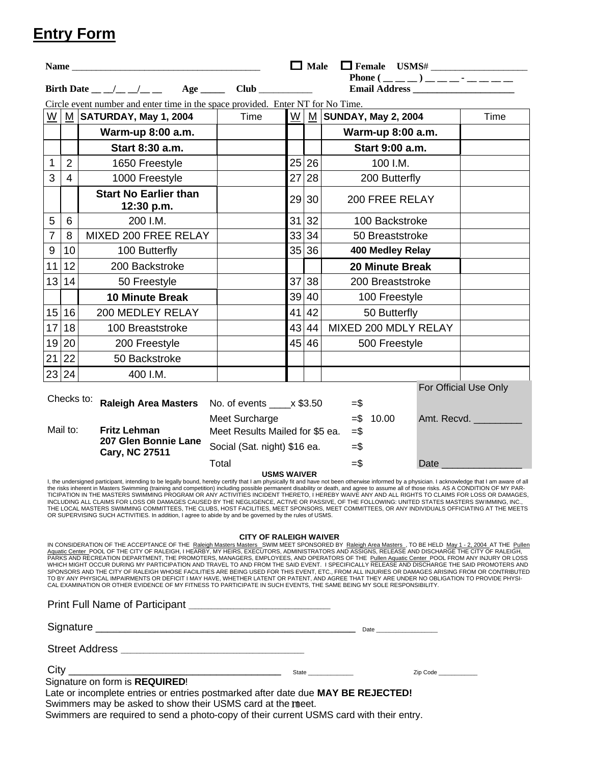# **Entry Form**

|                          |                                                                                                                                                                                                                                                                                                                                                                                                                                                                                                                                                                                                                                                                                                                                                                                                                                                                                                                                                                                                                                                                             |                                                                                                                                                                                                                                                                                                                                                                                                                                                                                                                                                                                                                                                                                                                                                                                                                                                                                                                                                           |                                 | $\Box$ Male<br>$\Box$ Female USMS# |       |                        |          |                       |  |
|--------------------------|-----------------------------------------------------------------------------------------------------------------------------------------------------------------------------------------------------------------------------------------------------------------------------------------------------------------------------------------------------------------------------------------------------------------------------------------------------------------------------------------------------------------------------------------------------------------------------------------------------------------------------------------------------------------------------------------------------------------------------------------------------------------------------------------------------------------------------------------------------------------------------------------------------------------------------------------------------------------------------------------------------------------------------------------------------------------------------|-----------------------------------------------------------------------------------------------------------------------------------------------------------------------------------------------------------------------------------------------------------------------------------------------------------------------------------------------------------------------------------------------------------------------------------------------------------------------------------------------------------------------------------------------------------------------------------------------------------------------------------------------------------------------------------------------------------------------------------------------------------------------------------------------------------------------------------------------------------------------------------------------------------------------------------------------------------|---------------------------------|------------------------------------|-------|------------------------|----------|-----------------------|--|
|                          |                                                                                                                                                                                                                                                                                                                                                                                                                                                                                                                                                                                                                                                                                                                                                                                                                                                                                                                                                                                                                                                                             |                                                                                                                                                                                                                                                                                                                                                                                                                                                                                                                                                                                                                                                                                                                                                                                                                                                                                                                                                           |                                 |                                    |       | Phone $(\_\_ \_ \_ )$  |          |                       |  |
|                          | Circle event number and enter time in the space provided. Enter NT for No Time.                                                                                                                                                                                                                                                                                                                                                                                                                                                                                                                                                                                                                                                                                                                                                                                                                                                                                                                                                                                             |                                                                                                                                                                                                                                                                                                                                                                                                                                                                                                                                                                                                                                                                                                                                                                                                                                                                                                                                                           |                                 |                                    |       |                        |          |                       |  |
| $\underline{\mathsf{W}}$ |                                                                                                                                                                                                                                                                                                                                                                                                                                                                                                                                                                                                                                                                                                                                                                                                                                                                                                                                                                                                                                                                             | M SATURDAY, May 1, 2004                                                                                                                                                                                                                                                                                                                                                                                                                                                                                                                                                                                                                                                                                                                                                                                                                                                                                                                                   | Time                            | W                                  |       | M SUNDAY, May 2, 2004  |          | Time                  |  |
|                          |                                                                                                                                                                                                                                                                                                                                                                                                                                                                                                                                                                                                                                                                                                                                                                                                                                                                                                                                                                                                                                                                             | Warm-up 8:00 a.m.                                                                                                                                                                                                                                                                                                                                                                                                                                                                                                                                                                                                                                                                                                                                                                                                                                                                                                                                         |                                 |                                    |       | Warm-up 8:00 a.m.      |          |                       |  |
|                          |                                                                                                                                                                                                                                                                                                                                                                                                                                                                                                                                                                                                                                                                                                                                                                                                                                                                                                                                                                                                                                                                             | Start 8:30 a.m.                                                                                                                                                                                                                                                                                                                                                                                                                                                                                                                                                                                                                                                                                                                                                                                                                                                                                                                                           |                                 |                                    |       | Start 9:00 a.m.        |          |                       |  |
| $\mathbf{1}$             | 2                                                                                                                                                                                                                                                                                                                                                                                                                                                                                                                                                                                                                                                                                                                                                                                                                                                                                                                                                                                                                                                                           | 1650 Freestyle                                                                                                                                                                                                                                                                                                                                                                                                                                                                                                                                                                                                                                                                                                                                                                                                                                                                                                                                            |                                 |                                    | 25 26 | 100 I.M.               |          |                       |  |
| 3                        | $\overline{4}$                                                                                                                                                                                                                                                                                                                                                                                                                                                                                                                                                                                                                                                                                                                                                                                                                                                                                                                                                                                                                                                              | 1000 Freestyle                                                                                                                                                                                                                                                                                                                                                                                                                                                                                                                                                                                                                                                                                                                                                                                                                                                                                                                                            |                                 | 27                                 | 28    | 200 Butterfly          |          |                       |  |
|                          |                                                                                                                                                                                                                                                                                                                                                                                                                                                                                                                                                                                                                                                                                                                                                                                                                                                                                                                                                                                                                                                                             | <b>Start No Earlier than</b><br>12:30 p.m.                                                                                                                                                                                                                                                                                                                                                                                                                                                                                                                                                                                                                                                                                                                                                                                                                                                                                                                |                                 |                                    | 29 30 | 200 FREE RELAY         |          |                       |  |
| $\overline{5}$           | 6                                                                                                                                                                                                                                                                                                                                                                                                                                                                                                                                                                                                                                                                                                                                                                                                                                                                                                                                                                                                                                                                           | 200 I.M.                                                                                                                                                                                                                                                                                                                                                                                                                                                                                                                                                                                                                                                                                                                                                                                                                                                                                                                                                  |                                 | 31                                 | 32    | 100 Backstroke         |          |                       |  |
| $\overline{7}$           | 8                                                                                                                                                                                                                                                                                                                                                                                                                                                                                                                                                                                                                                                                                                                                                                                                                                                                                                                                                                                                                                                                           | MIXED 200 FREE RELAY                                                                                                                                                                                                                                                                                                                                                                                                                                                                                                                                                                                                                                                                                                                                                                                                                                                                                                                                      |                                 | 33                                 | 34    | 50 Breaststroke        |          |                       |  |
| $\boldsymbol{9}$         | 10                                                                                                                                                                                                                                                                                                                                                                                                                                                                                                                                                                                                                                                                                                                                                                                                                                                                                                                                                                                                                                                                          | 100 Butterfly                                                                                                                                                                                                                                                                                                                                                                                                                                                                                                                                                                                                                                                                                                                                                                                                                                                                                                                                             |                                 |                                    | 35 36 | 400 Medley Relay       |          |                       |  |
| 11                       | 12                                                                                                                                                                                                                                                                                                                                                                                                                                                                                                                                                                                                                                                                                                                                                                                                                                                                                                                                                                                                                                                                          | 200 Backstroke                                                                                                                                                                                                                                                                                                                                                                                                                                                                                                                                                                                                                                                                                                                                                                                                                                                                                                                                            |                                 |                                    |       | <b>20 Minute Break</b> |          |                       |  |
| 13 14                    |                                                                                                                                                                                                                                                                                                                                                                                                                                                                                                                                                                                                                                                                                                                                                                                                                                                                                                                                                                                                                                                                             | 50 Freestyle                                                                                                                                                                                                                                                                                                                                                                                                                                                                                                                                                                                                                                                                                                                                                                                                                                                                                                                                              |                                 | 37                                 | 38    | 200 Breaststroke       |          |                       |  |
|                          |                                                                                                                                                                                                                                                                                                                                                                                                                                                                                                                                                                                                                                                                                                                                                                                                                                                                                                                                                                                                                                                                             | <b>10 Minute Break</b>                                                                                                                                                                                                                                                                                                                                                                                                                                                                                                                                                                                                                                                                                                                                                                                                                                                                                                                                    |                                 | 39                                 | 40    | 100 Freestyle          |          |                       |  |
| 15 16                    |                                                                                                                                                                                                                                                                                                                                                                                                                                                                                                                                                                                                                                                                                                                                                                                                                                                                                                                                                                                                                                                                             | 200 MEDLEY RELAY                                                                                                                                                                                                                                                                                                                                                                                                                                                                                                                                                                                                                                                                                                                                                                                                                                                                                                                                          |                                 | 41                                 | 42    | 50 Butterfly           |          |                       |  |
|                          | 17 18                                                                                                                                                                                                                                                                                                                                                                                                                                                                                                                                                                                                                                                                                                                                                                                                                                                                                                                                                                                                                                                                       | 100 Breaststroke                                                                                                                                                                                                                                                                                                                                                                                                                                                                                                                                                                                                                                                                                                                                                                                                                                                                                                                                          |                                 | 43                                 | 44    | MIXED 200 MDLY RELAY   |          |                       |  |
|                          | 19 20                                                                                                                                                                                                                                                                                                                                                                                                                                                                                                                                                                                                                                                                                                                                                                                                                                                                                                                                                                                                                                                                       | 200 Freestyle                                                                                                                                                                                                                                                                                                                                                                                                                                                                                                                                                                                                                                                                                                                                                                                                                                                                                                                                             |                                 |                                    | 45 46 | 500 Freestyle          |          |                       |  |
| 21 22                    |                                                                                                                                                                                                                                                                                                                                                                                                                                                                                                                                                                                                                                                                                                                                                                                                                                                                                                                                                                                                                                                                             | 50 Backstroke                                                                                                                                                                                                                                                                                                                                                                                                                                                                                                                                                                                                                                                                                                                                                                                                                                                                                                                                             |                                 |                                    |       |                        |          |                       |  |
|                          | 23 24                                                                                                                                                                                                                                                                                                                                                                                                                                                                                                                                                                                                                                                                                                                                                                                                                                                                                                                                                                                                                                                                       | 400 I.M.                                                                                                                                                                                                                                                                                                                                                                                                                                                                                                                                                                                                                                                                                                                                                                                                                                                                                                                                                  |                                 |                                    |       |                        |          |                       |  |
|                          | Checks to:                                                                                                                                                                                                                                                                                                                                                                                                                                                                                                                                                                                                                                                                                                                                                                                                                                                                                                                                                                                                                                                                  |                                                                                                                                                                                                                                                                                                                                                                                                                                                                                                                                                                                                                                                                                                                                                                                                                                                                                                                                                           |                                 |                                    |       |                        |          | For Official Use Only |  |
|                          |                                                                                                                                                                                                                                                                                                                                                                                                                                                                                                                                                                                                                                                                                                                                                                                                                                                                                                                                                                                                                                                                             | <b>Raleigh Area Masters</b>                                                                                                                                                                                                                                                                                                                                                                                                                                                                                                                                                                                                                                                                                                                                                                                                                                                                                                                               | No. of events ____ x \$3.50     |                                    |       | $=$ \$                 |          |                       |  |
|                          | Mail to:                                                                                                                                                                                                                                                                                                                                                                                                                                                                                                                                                                                                                                                                                                                                                                                                                                                                                                                                                                                                                                                                    | <b>Fritz Lehman</b>                                                                                                                                                                                                                                                                                                                                                                                                                                                                                                                                                                                                                                                                                                                                                                                                                                                                                                                                       | Meet Surcharge                  | $= $ 10.00$                        |       |                        |          | Amt. Recvd.           |  |
|                          |                                                                                                                                                                                                                                                                                                                                                                                                                                                                                                                                                                                                                                                                                                                                                                                                                                                                                                                                                                                                                                                                             | 207 Glen Bonnie Lane                                                                                                                                                                                                                                                                                                                                                                                                                                                                                                                                                                                                                                                                                                                                                                                                                                                                                                                                      | Meet Results Mailed for \$5 ea. |                                    |       | $=$ \$                 |          |                       |  |
|                          |                                                                                                                                                                                                                                                                                                                                                                                                                                                                                                                                                                                                                                                                                                                                                                                                                                                                                                                                                                                                                                                                             | <b>Cary, NC 27511</b>                                                                                                                                                                                                                                                                                                                                                                                                                                                                                                                                                                                                                                                                                                                                                                                                                                                                                                                                     | Social (Sat. night) \$16 ea.    |                                    |       | $=$ \$                 |          |                       |  |
|                          |                                                                                                                                                                                                                                                                                                                                                                                                                                                                                                                                                                                                                                                                                                                                                                                                                                                                                                                                                                                                                                                                             |                                                                                                                                                                                                                                                                                                                                                                                                                                                                                                                                                                                                                                                                                                                                                                                                                                                                                                                                                           | Total<br><b>USMS WAIVER</b>     |                                    |       | $=$ $\frac{2}{3}$      | Date     |                       |  |
|                          |                                                                                                                                                                                                                                                                                                                                                                                                                                                                                                                                                                                                                                                                                                                                                                                                                                                                                                                                                                                                                                                                             | I, the undersigned participant, intending to be legally bound, hereby certify that I am physically fit and have not been otherwise informed by a physician. I acknowledge that I am aware of all<br>the risks inherent in Masters Swimming (training and competition) including possible permanent disability or death, and agree to assume all of those risks. AS A CONDITION OF MY PAR-<br>TICIPATION IN THE MASTERS SWIMMING PROGRAM OR ANY ACTIVITIES INCIDENT THERETO, I HEREBY WAIVE ANY AND ALL RIGHTS TO CLAIMS FOR LOSS OR DAMAGES.<br>INCLUDING ALL CLAIMS FOR LOSS OR DAMAGES CAUSED BY THE NEGLIGENCE, ACTIVE OR PASSIVE, OF THE FOLLOWING: UNITED STATES MASTERS SWIMMING, INC.,<br>THE LOCAL MASTERS SWIMMING COMMITTEES, THE CLUBS, HOST FACILITIES, MEET SPONSORS, MEET COMMITTEES, OR ANY INDIVIDUALS OFFICIATING AT THE MEETS<br>OR SUPERVISING SUCH ACTIVITIES. In addition, I agree to abide by and be governed by the rules of USMS. |                                 |                                    |       |                        |          |                       |  |
|                          | <b>CITY OF RALEIGH WAIVER</b><br>IN CONSIDERATION OF THE ACCEPTANCE OF THE Raleigh Masters Masters SWIM MEET SPONSORED BY Raleigh Area Masters , TO BE HELD May 1 - 2, 2004 AT THE Pullen<br>Aquatic Center POOL OF THE CITY OF RALEIGH, I HEARBY, MY HEIRS, EXECUTORS, ADMINISTRATORS AND ASSIGNS, RELEASE AND DISCHARGE THE CITY OF RALEIGH,<br>PARKS AND RECREATION DEPARTMENT, THE PROMOTERS, MANAGERS, EMPLOYEES, AND OPERATORS OF THE Pullen Aquatic Center POOL FROM ANY INJURY OR LOSS<br>WHICH MIGHT OCCUR DURING MY PARTICIPATION AND TRAVEL TO AND FROM THE SAID EVENT. I SPECIFICALLY RELEASE AND DISCHARGE THE SAID PROMOTERS AND<br>SPONSORS AND THE CITY OF RALEIGH WHOSE FACILITIES ARE BEING USED FOR THIS EVENT, ETC., FROM ALL INJURIES OR DAMAGES ARISING FROM OR CONTRIBUTED<br>TO BY ANY PHYSICAL IMPAIRMENTS OR DEFICIT I MAY HAVE, WHETHER LATENT OR PATENT, AND AGREE THAT THEY ARE UNDER NO OBLIGATION TO PROVIDE PHYSI-<br>CAL EXAMINATION OR OTHER EVIDENCE OF MY FITNESS TO PARTICIPATE IN SUCH EVENTS, THE SAME BEING MY SOLE RESPONSIBILITY. |                                                                                                                                                                                                                                                                                                                                                                                                                                                                                                                                                                                                                                                                                                                                                                                                                                                                                                                                                           |                                 |                                    |       |                        |          |                       |  |
|                          |                                                                                                                                                                                                                                                                                                                                                                                                                                                                                                                                                                                                                                                                                                                                                                                                                                                                                                                                                                                                                                                                             | Print Full Name of Participant [10] Martin Martin Martin Martin Martin Martin Martin Martin Martin Martin Marti                                                                                                                                                                                                                                                                                                                                                                                                                                                                                                                                                                                                                                                                                                                                                                                                                                           |                                 |                                    |       |                        |          |                       |  |
|                          |                                                                                                                                                                                                                                                                                                                                                                                                                                                                                                                                                                                                                                                                                                                                                                                                                                                                                                                                                                                                                                                                             |                                                                                                                                                                                                                                                                                                                                                                                                                                                                                                                                                                                                                                                                                                                                                                                                                                                                                                                                                           |                                 |                                    |       |                        |          |                       |  |
|                          |                                                                                                                                                                                                                                                                                                                                                                                                                                                                                                                                                                                                                                                                                                                                                                                                                                                                                                                                                                                                                                                                             |                                                                                                                                                                                                                                                                                                                                                                                                                                                                                                                                                                                                                                                                                                                                                                                                                                                                                                                                                           |                                 |                                    |       |                        |          |                       |  |
| City                     |                                                                                                                                                                                                                                                                                                                                                                                                                                                                                                                                                                                                                                                                                                                                                                                                                                                                                                                                                                                                                                                                             |                                                                                                                                                                                                                                                                                                                                                                                                                                                                                                                                                                                                                                                                                                                                                                                                                                                                                                                                                           |                                 |                                    |       |                        | Zip Code |                       |  |
|                          |                                                                                                                                                                                                                                                                                                                                                                                                                                                                                                                                                                                                                                                                                                                                                                                                                                                                                                                                                                                                                                                                             | Signature on form is REQUIRED!<br>Late or incomplete entries or entries postmarked after date due MAY RE REJECTEDL                                                                                                                                                                                                                                                                                                                                                                                                                                                                                                                                                                                                                                                                                                                                                                                                                                        |                                 |                                    |       |                        |          |                       |  |

Swimmers may be asked to show their USMS card at the meet. late or incomplete entries or entries postmarked after date due **MAY BE REJECTED!** Swimmers are required to send a photo-copy of their current USMS card with their entry.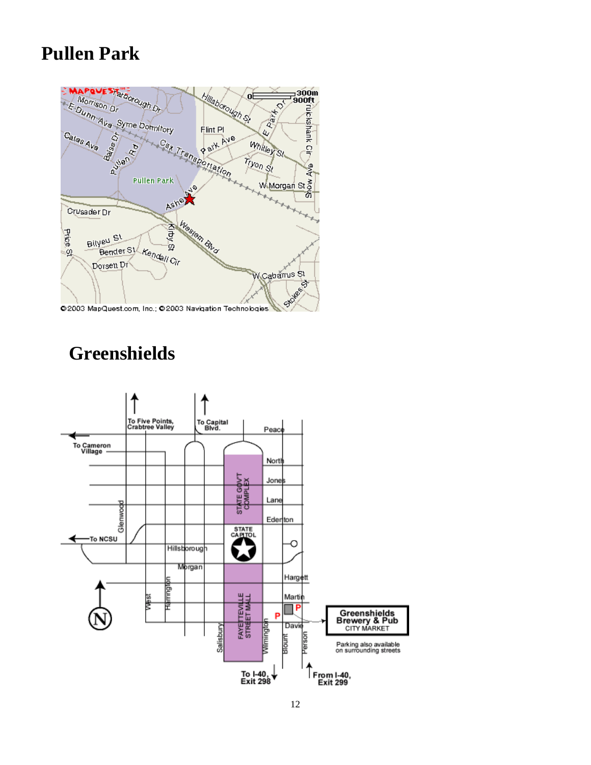# **Pullen Park**



# **Greenshields**